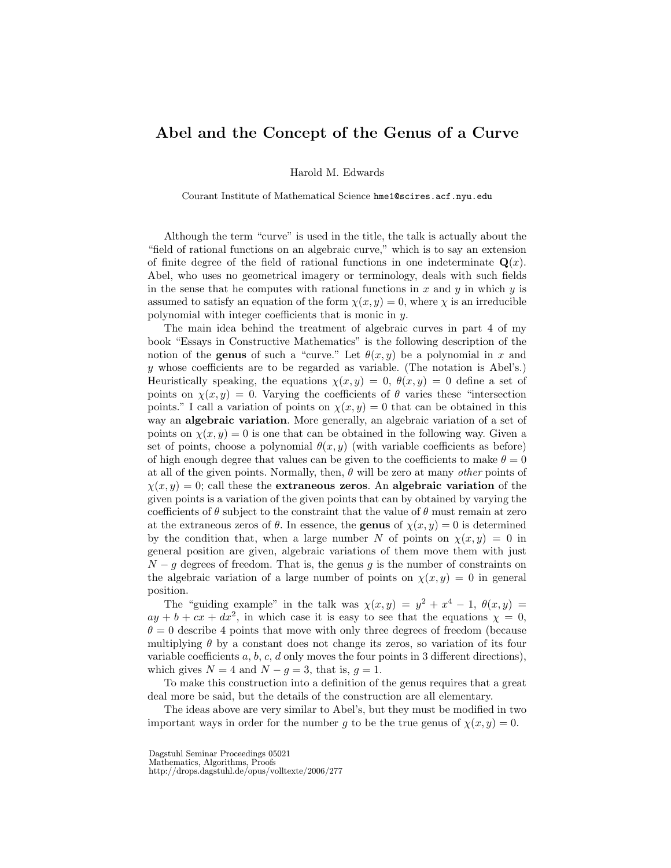## Abel and the Concept of the Genus of a Curve

Harold M. Edwards

Courant Institute of Mathematical Science hme1@scires.acf.nyu.edu

Although the term "curve" is used in the title, the talk is actually about the "field of rational functions on an algebraic curve," which is to say an extension of finite degree of the field of rational functions in one indeterminate  $\mathbf{Q}(x)$ . Abel, who uses no geometrical imagery or terminology, deals with such fields in the sense that he computes with rational functions in  $x$  and  $y$  in which  $y$  is assumed to satisfy an equation of the form  $\chi(x, y) = 0$ , where  $\chi$  is an irreducible polynomial with integer coefficients that is monic in y.

The main idea behind the treatment of algebraic curves in part 4 of my book "Essays in Constructive Mathematics" is the following description of the notion of the **genus** of such a "curve." Let  $\theta(x, y)$  be a polynomial in x and  $y$  whose coefficients are to be regarded as variable. (The notation is Abel's.) Heuristically speaking, the equations  $\chi(x, y) = 0$ ,  $\theta(x, y) = 0$  define a set of points on  $\chi(x, y) = 0$ . Varying the coefficients of  $\theta$  varies these "intersection" points." I call a variation of points on  $\chi(x, y) = 0$  that can be obtained in this way an algebraic variation. More generally, an algebraic variation of a set of points on  $\chi(x, y) = 0$  is one that can be obtained in the following way. Given a set of points, choose a polynomial  $\theta(x, y)$  (with variable coefficients as before) of high enough degree that values can be given to the coefficients to make  $\theta = 0$ at all of the given points. Normally, then,  $\theta$  will be zero at many *other* points of  $\chi(x, y) = 0$ ; call these the **extraneous zeros.** An algebraic variation of the given points is a variation of the given points that can by obtained by varying the coefficients of  $\theta$  subject to the constraint that the value of  $\theta$  must remain at zero at the extraneous zeros of  $\theta$ . In essence, the **genus** of  $\chi(x, y) = 0$  is determined by the condition that, when a large number N of points on  $\chi(x, y) = 0$  in general position are given, algebraic variations of them move them with just  $N-g$  degrees of freedom. That is, the genus g is the number of constraints on the algebraic variation of a large number of points on  $\chi(x, y) = 0$  in general position.

The "guiding example" in the talk was  $\chi(x,y) = y^2 + x^4 - 1$ ,  $\theta(x,y) = 1$  $ay + b + cx + dx^2$ , in which case it is easy to see that the equations  $\chi = 0$ ,  $\theta = 0$  describe 4 points that move with only three degrees of freedom (because multiplying  $\theta$  by a constant does not change its zeros, so variation of its four variable coefficients  $a, b, c, d$  only moves the four points in 3 different directions), which gives  $N = 4$  and  $N - g = 3$ , that is,  $g = 1$ .

To make this construction into a definition of the genus requires that a great deal more be said, but the details of the construction are all elementary.

The ideas above are very similar to Abel's, but they must be modified in two important ways in order for the number g to be the true genus of  $\chi(x, y) = 0$ .

Dagstuhl Seminar Proceedings 05021

Mathematics, Algorithms, Proofs

http://drops.dagstuhl.de/opus/volltexte/2006/277